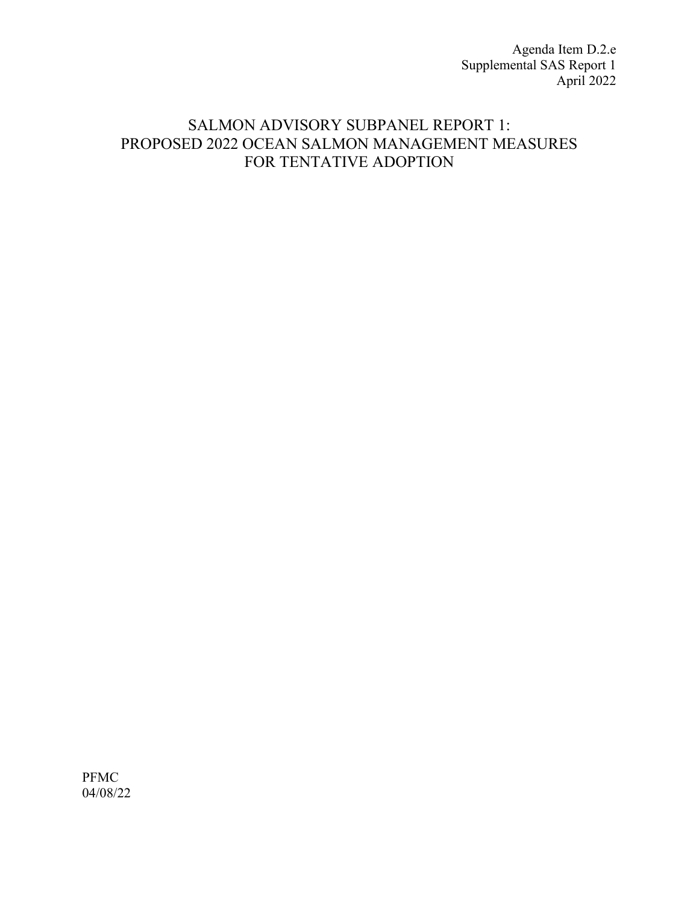Agenda Item D.2.e Supplemental SAS Report 1 April 2022

# SALMON ADVISORY SUBPANEL REPORT 1: PROPOSED 2022 OCEAN SALMON MANAGEMENT MEASURES FOR TENTATIVE ADOPTION

PFMC 04/08/22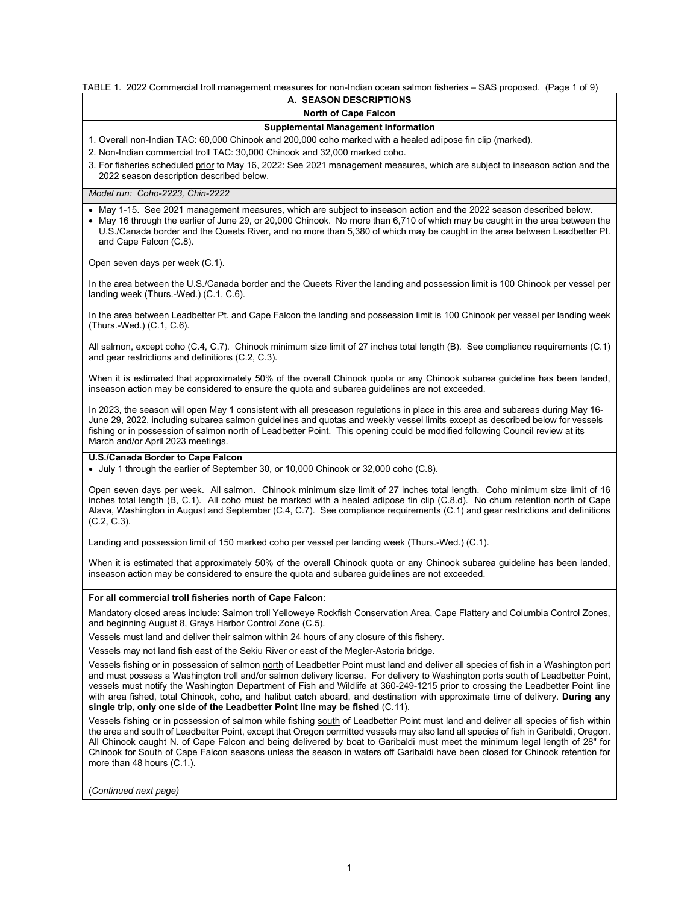# TABLE 1. 2022 Commercial troll management measures for non-Indian ocean salmon fisheries – SAS proposed. (Page 1 of 9)

| A. SEASON DESCRIPTIONS                                                                                                                                                                                                                                                                                                                                                                                                                                                                                                                                                                                                      |  |  |  |
|-----------------------------------------------------------------------------------------------------------------------------------------------------------------------------------------------------------------------------------------------------------------------------------------------------------------------------------------------------------------------------------------------------------------------------------------------------------------------------------------------------------------------------------------------------------------------------------------------------------------------------|--|--|--|
| <b>North of Cape Falcon</b>                                                                                                                                                                                                                                                                                                                                                                                                                                                                                                                                                                                                 |  |  |  |
| <b>Supplemental Management Information</b>                                                                                                                                                                                                                                                                                                                                                                                                                                                                                                                                                                                  |  |  |  |
| 1. Overall non-Indian TAC: 60,000 Chinook and 200,000 coho marked with a healed adipose fin clip (marked).                                                                                                                                                                                                                                                                                                                                                                                                                                                                                                                  |  |  |  |
| 2. Non-Indian commercial troll TAC: 30,000 Chinook and 32,000 marked coho.                                                                                                                                                                                                                                                                                                                                                                                                                                                                                                                                                  |  |  |  |
| 3. For fisheries scheduled prior to May 16, 2022: See 2021 management measures, which are subject to inseason action and the<br>2022 season description described below.                                                                                                                                                                                                                                                                                                                                                                                                                                                    |  |  |  |
| Model run: Coho-2223, Chin-2222                                                                                                                                                                                                                                                                                                                                                                                                                                                                                                                                                                                             |  |  |  |
| • May 1-15. See 2021 management measures, which are subject to inseason action and the 2022 season described below.<br>• May 16 through the earlier of June 29, or 20,000 Chinook. No more than 6,710 of which may be caught in the area between the<br>U.S./Canada border and the Queets River, and no more than 5,380 of which may be caught in the area between Leadbetter Pt.<br>and Cape Falcon (C.8).                                                                                                                                                                                                                 |  |  |  |
| Open seven days per week (C.1).                                                                                                                                                                                                                                                                                                                                                                                                                                                                                                                                                                                             |  |  |  |
| In the area between the U.S./Canada border and the Queets River the landing and possession limit is 100 Chinook per vessel per<br>landing week (Thurs.-Wed.) (C.1, C.6).                                                                                                                                                                                                                                                                                                                                                                                                                                                    |  |  |  |
| In the area between Leadbetter Pt. and Cape Falcon the landing and possession limit is 100 Chinook per vessel per landing week<br>(Thurs.-Wed.) (C.1, C.6).                                                                                                                                                                                                                                                                                                                                                                                                                                                                 |  |  |  |
| All salmon, except coho (C.4, C.7). Chinook minimum size limit of 27 inches total length (B). See compliance requirements (C.1)<br>and gear restrictions and definitions (C.2, C.3).                                                                                                                                                                                                                                                                                                                                                                                                                                        |  |  |  |
| When it is estimated that approximately 50% of the overall Chinook quota or any Chinook subarea guideline has been landed,<br>inseason action may be considered to ensure the quota and subarea quidelines are not exceeded.                                                                                                                                                                                                                                                                                                                                                                                                |  |  |  |
| In 2023, the season will open May 1 consistent with all preseason regulations in place in this area and subareas during May 16-<br>June 29, 2022, including subarea salmon quidelines and quotas and weekly vessel limits except as described below for vessels<br>fishing or in possession of salmon north of Leadbetter Point. This opening could be modified following Council review at its<br>March and/or April 2023 meetings.                                                                                                                                                                                        |  |  |  |
| U.S./Canada Border to Cape Falcon<br>• July 1 through the earlier of September 30, or 10,000 Chinook or 32,000 coho (C.8).                                                                                                                                                                                                                                                                                                                                                                                                                                                                                                  |  |  |  |
| Open seven days per week. All salmon. Chinook minimum size limit of 27 inches total length. Coho minimum size limit of 16<br>inches total length (B, C.1). All coho must be marked with a healed adipose fin clip (C.8.d). No chum retention north of Cape<br>Alava, Washington in August and September (C.4, C.7). See compliance requirements (C.1) and gear restrictions and definitions<br>$(C.2, C.3)$ .                                                                                                                                                                                                               |  |  |  |
| Landing and possession limit of 150 marked coho per vessel per landing week (Thurs.-Wed.) (C.1).                                                                                                                                                                                                                                                                                                                                                                                                                                                                                                                            |  |  |  |
| When it is estimated that approximately 50% of the overall Chinook quota or any Chinook subarea guideline has been landed,<br>inseason action may be considered to ensure the quota and subarea guidelines are not exceeded.                                                                                                                                                                                                                                                                                                                                                                                                |  |  |  |
| For all commercial troll fisheries north of Cape Falcon:                                                                                                                                                                                                                                                                                                                                                                                                                                                                                                                                                                    |  |  |  |
| Mandatory closed areas include: Salmon troll Yelloweye Rockfish Conservation Area, Cape Flattery and Columbia Control Zones,<br>and beginning August 8, Grays Harbor Control Zone (C.5).                                                                                                                                                                                                                                                                                                                                                                                                                                    |  |  |  |
| Vessels must land and deliver their salmon within 24 hours of any closure of this fishery.                                                                                                                                                                                                                                                                                                                                                                                                                                                                                                                                  |  |  |  |
| Vessels may not land fish east of the Sekiu River or east of the Megler-Astoria bridge.                                                                                                                                                                                                                                                                                                                                                                                                                                                                                                                                     |  |  |  |
| Vessels fishing or in possession of salmon north of Leadbetter Point must land and deliver all species of fish in a Washington port<br>and must possess a Washington troll and/or salmon delivery license. For delivery to Washington ports south of Leadbetter Point,<br>vessels must notify the Washington Department of Fish and Wildlife at 360-249-1215 prior to crossing the Leadbetter Point line<br>with area fished, total Chinook, coho, and halibut catch aboard, and destination with approximate time of delivery. During any<br>single trip, only one side of the Leadbetter Point line may be fished (C.11). |  |  |  |
| Vessels fishing or in possession of salmon while fishing south of Leadbetter Point must land and deliver all species of fish within<br>the area and south of Leadbetter Point, except that Oregon permitted vessels may also land all species of fish in Garibaldi, Oregon.<br>All Chinook caught N. of Cape Falcon and being delivered by boat to Garibaldi must meet the minimum legal length of 28" for<br>Chinook for South of Cape Falcon seasons unless the season in waters off Garibaldi have been closed for Chinook retention for<br>more than 48 hours (C.1.).                                                   |  |  |  |
| (Continued next page)                                                                                                                                                                                                                                                                                                                                                                                                                                                                                                                                                                                                       |  |  |  |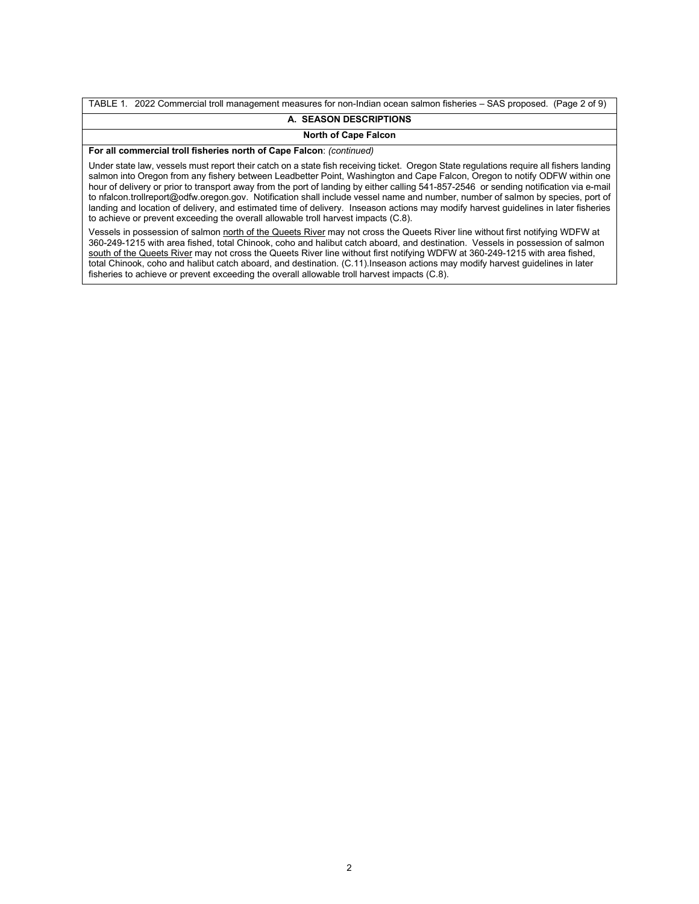TABLE 1. 2022 Commercial troll management measures for non-Indian ocean salmon fisheries – SAS proposed. (Page 2 of 9) **A. SEASON DESCRIPTIONS**

# **North of Cape Falcon**

**For all commercial troll fisheries north of Cape Falcon**: *(continued)*

Under state law, vessels must report their catch on a state fish receiving ticket. Oregon State regulations require all fishers landing salmon into Oregon from any fishery between Leadbetter Point, Washington and Cape Falcon, Oregon to notify ODFW within one hour of delivery or prior to transport away from the port of landing by either calling 541-857-2546 or sending notification via e-mail to nfalcon.trollreport@odfw.oregon.gov. Notification shall include vessel name and number, number of salmon by species, port of landing and location of delivery, and estimated time of delivery. Inseason actions may modify harvest guidelines in later fisheries to achieve or prevent exceeding the overall allowable troll harvest impacts (C.8).

Vessels in possession of salmon north of the Queets River may not cross the Queets River line without first notifying WDFW at 360-249-1215 with area fished, total Chinook, coho and halibut catch aboard, and destination. Vessels in possession of salmon south of the Queets River may not cross the Queets River line without first notifying WDFW at 360-249-1215 with area fished, total Chinook, coho and halibut catch aboard, and destination. (C.11).Inseason actions may modify harvest guidelines in later fisheries to achieve or prevent exceeding the overall allowable troll harvest impacts (C.8).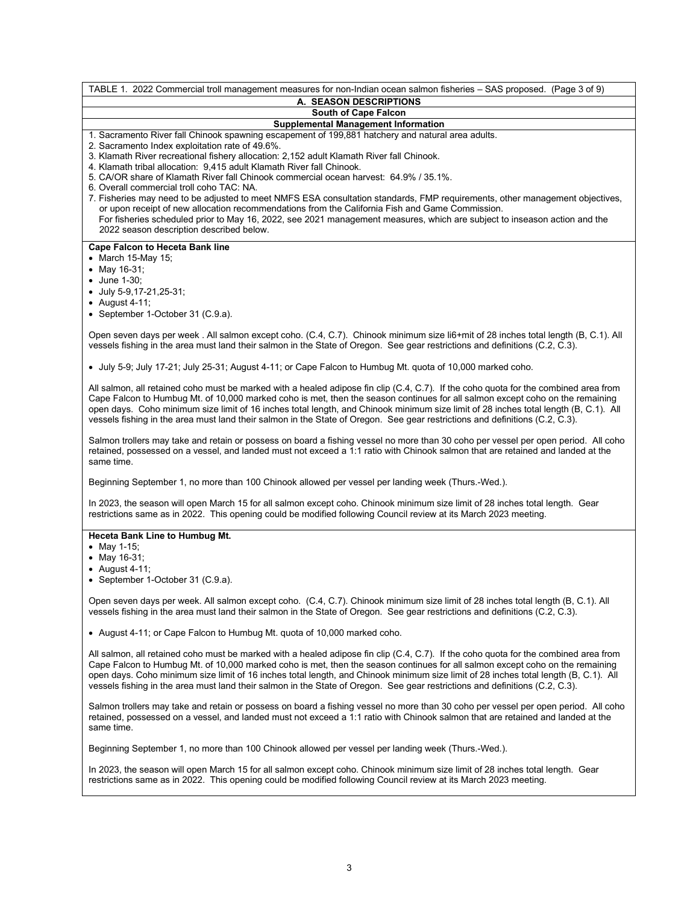TABLE 1. 2022 Commercial troll management measures for non-Indian ocean salmon fisheries – SAS proposed. (Page 3 of 9) **A. SEASON DESCRIPTIONS South of Cape Falcon Supplemental Management Information** 1. Sacramento River fall Chinook spawning escapement of 199,881 hatchery and natural area adults. 2. Sacramento Index exploitation rate of 49.6%. 3. Klamath River recreational fishery allocation: 2,152 adult Klamath River fall Chinook. 4. Klamath tribal allocation: 9,415 adult Klamath River fall Chinook. 5. CA/OR share of Klamath River fall Chinook commercial ocean harvest: 64.9% / 35.1%. 6. Overall commercial troll coho TAC: NA. 7. Fisheries may need to be adjusted to meet NMFS ESA consultation standards, FMP requirements, other management objectives, or upon receipt of new allocation recommendations from the California Fish and Game Commission. For fisheries scheduled prior to May 16, 2022, see 2021 management measures, which are subject to inseason action and the 2022 season description described below. **Cape Falcon to Heceta Bank line** • March 15-May 15; • May 16-31; • June 1-30; • July 5-9,17-21,25-31; • August 4-11; • September 1-October 31 (C.9.a). Open seven days per week . All salmon except coho. (C.4, C.7). Chinook minimum size li6+mit of 28 inches total length (B, C.1). All vessels fishing in the area must land their salmon in the State of Oregon. See gear restrictions and definitions (C.2, C.3). • July 5-9; July 17-21; July 25-31; August 4-11; or Cape Falcon to Humbug Mt. quota of 10,000 marked coho. All salmon, all retained coho must be marked with a healed adipose fin clip (C.4, C.7). If the coho quota for the combined area from Cape Falcon to Humbug Mt. of 10,000 marked coho is met, then the season continues for all salmon except coho on the remaining open days. Coho minimum size limit of 16 inches total length, and Chinook minimum size limit of 28 inches total length (B, C.1). All vessels fishing in the area must land their salmon in the State of Oregon. See gear restrictions and definitions (C.2, C.3). Salmon trollers may take and retain or possess on board a fishing vessel no more than 30 coho per vessel per open period. All coho retained, possessed on a vessel, and landed must not exceed a 1:1 ratio with Chinook salmon that are retained and landed at the same time. Beginning September 1, no more than 100 Chinook allowed per vessel per landing week (Thurs.-Wed.). In 2023, the season will open March 15 for all salmon except coho. Chinook minimum size limit of 28 inches total length. Gear restrictions same as in 2022. This opening could be modified following Council review at its March 2023 meeting. **Heceta Bank Line to Humbug Mt.** • May 1-15; • May 16-31; • August 4-11; • September 1-October 31 (C.9.a). Open seven days per week. All salmon except coho. (C.4, C.7). Chinook minimum size limit of 28 inches total length (B, C.1). All vessels fishing in the area must land their salmon in the State of Oregon. See gear restrictions and definitions (C.2, C.3). • August 4-11; or Cape Falcon to Humbug Mt. quota of 10,000 marked coho. All salmon, all retained coho must be marked with a healed adipose fin clip (C.4, C.7). If the coho quota for the combined area from Cape Falcon to Humbug Mt. of 10,000 marked coho is met, then the season continues for all salmon except coho on the remaining open days. Coho minimum size limit of 16 inches total length, and Chinook minimum size limit of 28 inches total length (B, C.1). All vessels fishing in the area must land their salmon in the State of Oregon. See gear restrictions and definitions (C.2, C.3). Salmon trollers may take and retain or possess on board a fishing vessel no more than 30 coho per vessel per open period. All coho retained, possessed on a vessel, and landed must not exceed a 1:1 ratio with Chinook salmon that are retained and landed at the same time. Beginning September 1, no more than 100 Chinook allowed per vessel per landing week (Thurs.-Wed.). In 2023, the season will open March 15 for all salmon except coho. Chinook minimum size limit of 28 inches total length. Gear restrictions same as in 2022. This opening could be modified following Council review at its March 2023 meeting.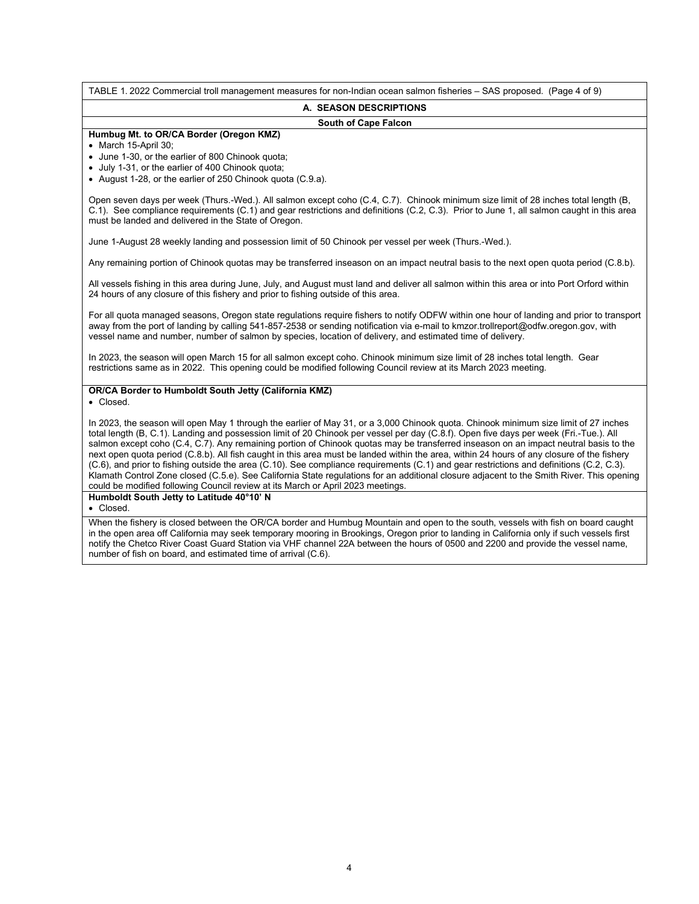TABLE 1. 2022 Commercial troll management measures for non-Indian ocean salmon fisheries – SAS proposed. (Page 4 of 9) **A. SEASON DESCRIPTIONS South of Cape Falcon Humbug Mt. to OR/CA Border (Oregon KMZ)** • March 15-April 30; • June 1-30, or the earlier of 800 Chinook quota; • July 1-31, or the earlier of 400 Chinook quota; • August 1-28, or the earlier of 250 Chinook quota (C.9.a). Open seven days per week (Thurs.-Wed.). All salmon except coho (C.4, C.7). Chinook minimum size limit of 28 inches total length (B, C.1).See compliance requirements (C.1) and gear restrictions and definitions (C.2, C.3). Prior to June 1, all salmon caught in this area must be landed and delivered in the State of Oregon. June 1-August 28 weekly landing and possession limit of 50 Chinook per vessel per week (Thurs.-Wed.). Any remaining portion of Chinook quotas may be transferred inseason on an impact neutral basis to the next open quota period (C.8.b). All vessels fishing in this area during June, July, and August must land and deliver all salmon within this area or into Port Orford within 24 hours of any closure of this fishery and prior to fishing outside of this area. For all quota managed seasons, Oregon state regulations require fishers to notify ODFW within one hour of landing and prior to transport away from the port of landing by calling 541-857-2538 or sending notification via e-mail to kmzor.trollreport@odfw.oregon.gov, with vessel name and number, number of salmon by species, location of delivery, and estimated time of delivery. In 2023, the season will open March 15 for all salmon except coho. Chinook minimum size limit of 28 inches total length. Gear restrictions same as in 2022. This opening could be modified following Council review at its March 2023 meeting. **OR/CA Border to Humboldt South Jetty (California KMZ)** • Closed. In 2023, the season will open May 1 through the earlier of May 31, or a 3,000 Chinook quota. Chinook minimum size limit of 27 inches total length (B, C.1). Landing and possession limit of 20 Chinook per vessel per day (C.8.f). Open five days per week (Fri.-Tue.). All salmon except coho (C.4, C.7). Any remaining portion of Chinook quotas may be transferred inseason on an impact neutral basis to the next open quota period (C.8.b). All fish caught in this area must be landed within the area, within 24 hours of any closure of the fishery (C.6), and prior to fishing outside the area (C.10). See compliance requirements (C.1) and gear restrictions and definitions (C.2, C.3). Klamath Control Zone closed (C.5.e). See California State regulations for an additional closure adjacent to the Smith River. This opening could be modified following Council review at its March or April 2023 meetings. **Humboldt South Jetty to Latitude 40°10' N** • Closed.

When the fishery is closed between the OR/CA border and Humbug Mountain and open to the south, vessels with fish on board caught in the open area off California may seek temporary mooring in Brookings, Oregon prior to landing in California only if such vessels first notify the Chetco River Coast Guard Station via VHF channel 22A between the hours of 0500 and 2200 and provide the vessel name, number of fish on board, and estimated time of arrival (C.6).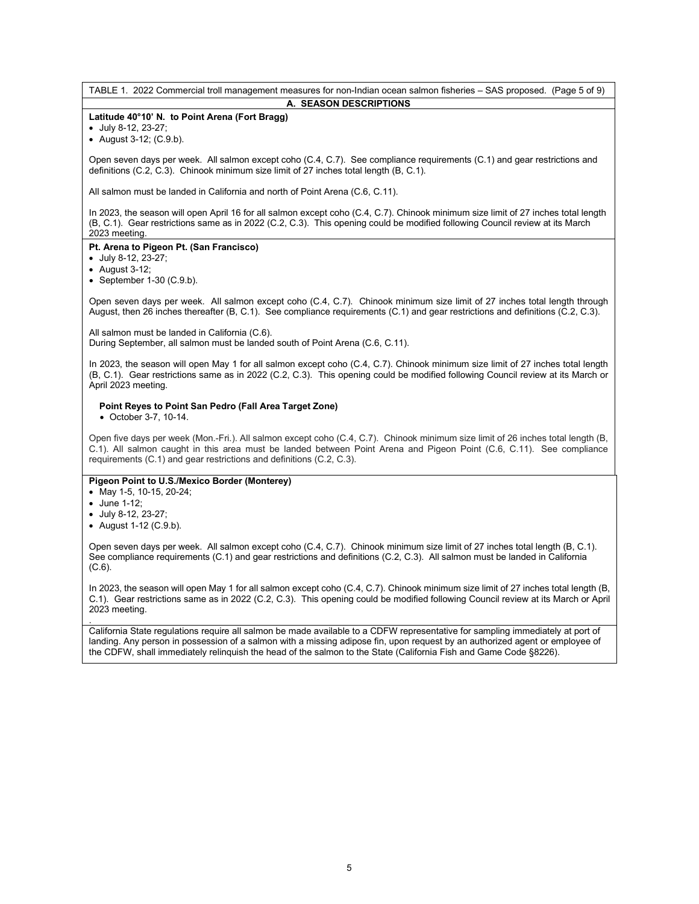TABLE 1. 2022 Commercial troll management measures for non-Indian ocean salmon fisheries – SAS proposed. (Page 5 of 9) **A. SEASON DESCRIPTIONS**

# **Latitude 40°10' N. to Point Arena (Fort Bragg)**

• July 8-12, 23-27;

• August 3-12; (C.9.b).

Open seven days per week. All salmon except coho (C.4, C.7). See compliance requirements (C.1) and gear restrictions and definitions (C.2, C.3). Chinook minimum size limit of 27 inches total length (B, C.1).

All salmon must be landed in California and north of Point Arena (C.6, C.11).

In 2023, the season will open April 16 for all salmon except coho (C.4, C.7). Chinook minimum size limit of 27 inches total length (B, C.1). Gear restrictions same as in 2022 (C.2, C.3). This opening could be modified following Council review at its March 2023 meeting.

# **Pt. Arena to Pigeon Pt. (San Francisco)**

• July 8-12, 23-27;

- August 3-12;
- September  $1-30$  (C.9.b).

Open seven days per week. All salmon except coho (C.4, C.7). Chinook minimum size limit of 27 inches total length through August, then 26 inches thereafter (B, C.1). See compliance requirements (C.1) and gear restrictions and definitions (C.2, C.3).

All salmon must be landed in California (C.6). During September, all salmon must be landed south of Point Arena (C.6, C.11).

In 2023, the season will open May 1 for all salmon except coho (C.4, C.7). Chinook minimum size limit of 27 inches total length (B, C.1). Gear restrictions same as in 2022 (C.2, C.3). This opening could be modified following Council review at its March or April 2023 meeting.

# **Point Reyes to Point San Pedro (Fall Area Target Zone)**

• October 3-7, 10-14.

Open five days per week (Mon.-Fri.). All salmon except coho (C.4, C.7). Chinook minimum size limit of 26 inches total length (B, C.1). All salmon caught in this area must be landed between Point Arena and Pigeon Point (C.6, C.11). See compliance requirements (C.1) and gear restrictions and definitions (C.2, C.3).

# **Pigeon Point to U.S./Mexico Border (Monterey)**

- May 1-5, 10-15, 20-24;
- June 1-12;
- July 8-12, 23-27;
- August 1-12 (C.9.b).

Open seven days per week. All salmon except coho (C.4, C.7). Chinook minimum size limit of 27 inches total length (B, C.1). See compliance requirements (C.1) and gear restrictions and definitions (C.2, C.3). All salmon must be landed in California (C.6).

In 2023, the season will open May 1 for all salmon except coho (C.4, C.7). Chinook minimum size limit of 27 inches total length (B, C.1). Gear restrictions same as in 2022 (C.2, C.3). This opening could be modified following Council review at its March or April 2023 meeting.

. California State regulations require all salmon be made available to a CDFW representative for sampling immediately at port of landing. Any person in possession of a salmon with a missing adipose fin, upon request by an authorized agent or employee of the CDFW, shall immediately relinquish the head of the salmon to the State (California Fish and Game Code §8226).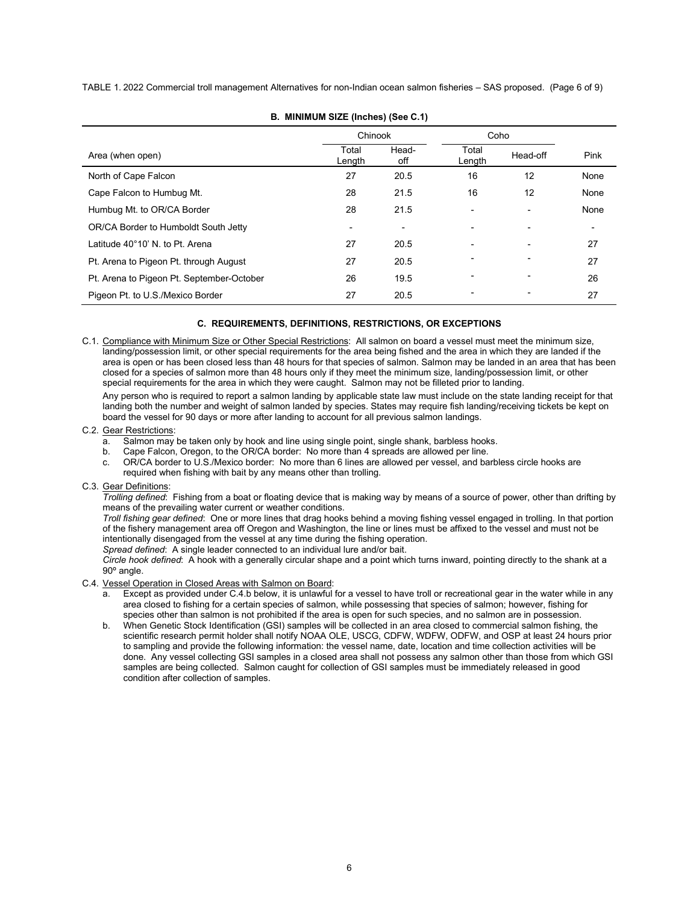TABLE 1. 2022 Commercial troll management Alternatives for non-Indian ocean salmon fisheries – SAS proposed. (Page 6 of 9)

|                                           | Chinook                  |              | Coho            |                          |      |
|-------------------------------------------|--------------------------|--------------|-----------------|--------------------------|------|
| Area (when open)                          | Total<br>Length          | Head-<br>off | Total<br>Length | Head-off                 | Pink |
| North of Cape Falcon                      | 27                       | 20.5         | 16              | 12                       | None |
| Cape Falcon to Humbug Mt.                 | 28                       | 21.5         | 16              | 12                       | None |
| Humbug Mt. to OR/CA Border                | 28                       | 21.5         | ٠               | ٠                        | None |
| OR/CA Border to Humboldt South Jetty      | $\overline{\phantom{a}}$ | -            | $\overline{a}$  | $\overline{\phantom{0}}$ | -    |
| Latitude 40°10' N. to Pt. Arena           | 27                       | 20.5         |                 | $\blacksquare$           | 27   |
| Pt. Arena to Pigeon Pt. through August    | 27                       | 20.5         |                 |                          | 27   |
| Pt. Arena to Pigeon Pt. September-October | 26                       | 19.5         |                 | ٠                        | 26   |
| Pigeon Pt. to U.S./Mexico Border          | 27                       | 20.5         |                 |                          | 27   |

**B. MINIMUM SIZE (Inches) (See C.1)**

# **C. REQUIREMENTS, DEFINITIONS, RESTRICTIONS, OR EXCEPTIONS**

C.1. Compliance with Minimum Size or Other Special Restrictions: All salmon on board a vessel must meet the minimum size, landing/possession limit, or other special requirements for the area being fished and the area in which they are landed if the area is open or has been closed less than 48 hours for that species of salmon. Salmon may be landed in an area that has been closed for a species of salmon more than 48 hours only if they meet the minimum size, landing/possession limit, or other special requirements for the area in which they were caught. Salmon may not be filleted prior to landing.

Any person who is required to report a salmon landing by applicable state law must include on the state landing receipt for that landing both the number and weight of salmon landed by species. States may require fish landing/receiving tickets be kept on board the vessel for 90 days or more after landing to account for all previous salmon landings.

#### C.2. Gear Restrictions:

- a. Salmon may be taken only by hook and line using single point, single shank, barbless hooks.
- b. Cape Falcon, Oregon, to the OR/CA border: No more than 4 spreads are allowed per line.
- c. OR/CA border to U.S./Mexico border: No more than 6 lines are allowed per vessel, and barbless circle hooks are required when fishing with bait by any means other than trolling.

# C.3. Gear Definitions:

*Trolling defined*: Fishing from a boat or floating device that is making way by means of a source of power, other than drifting by means of the prevailing water current or weather conditions.

*Troll fishing gear defined*: One or more lines that drag hooks behind a moving fishing vessel engaged in trolling. In that portion of the fishery management area off Oregon and Washington, the line or lines must be affixed to the vessel and must not be intentionally disengaged from the vessel at any time during the fishing operation.

*Spread defined*: A single leader connected to an individual lure and/or bait.

*Circle hook defined*: A hook with a generally circular shape and a point which turns inward, pointing directly to the shank at a 90º angle.

# C.4. Vessel Operation in Closed Areas with Salmon on Board:

- a. Except as provided under C.4.b below, it is unlawful for a vessel to have troll or recreational gear in the water while in any area closed to fishing for a certain species of salmon, while possessing that species of salmon; however, fishing for species other than salmon is not prohibited if the area is open for such species, and no salmon are in possession.
- b. When Genetic Stock Identification (GSI) samples will be collected in an area closed to commercial salmon fishing, the scientific research permit holder shall notify NOAA OLE, USCG, CDFW, WDFW, ODFW, and OSP at least 24 hours prior to sampling and provide the following information: the vessel name, date, location and time collection activities will be done. Any vessel collecting GSI samples in a closed area shall not possess any salmon other than those from which GSI samples are being collected. Salmon caught for collection of GSI samples must be immediately released in good condition after collection of samples.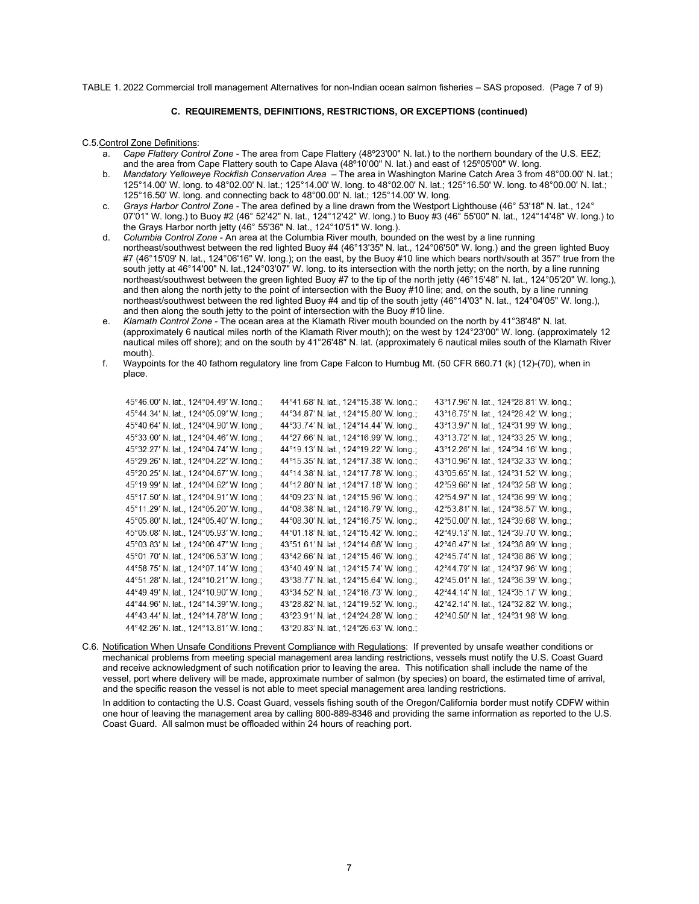TABLE 1. 2022 Commercial troll management Alternatives for non-Indian ocean salmon fisheries – SAS proposed. (Page 7 of 9)

# **C. REQUIREMENTS, DEFINITIONS, RESTRICTIONS, OR EXCEPTIONS (continued)**

#### C.5.Control Zone Definitions:

- a. *Cape Flattery Control Zone*  The area from Cape Flattery (48º23'00" N. lat.) to the northern boundary of the U.S. EEZ; and the area from Cape Flattery south to Cape Alava (48º10'00" N. lat.) and east of 125º05'00" W. long.
- b. *Mandatory Yelloweye Rockfish Conservation Area* The area in Washington Marine Catch Area 3 from 48°00.00' N. lat.; 125°14.00' W. long. to 48°02.00' N. lat.; 125°14.00' W. long. to 48°02.00' N. lat.; 125°16.50' W. long. to 48°00.00' N. lat.; 125°16.50' W. long. and connecting back to 48°00.00' N. lat.; 125°14.00' W. long.
- c. *Grays Harbor Control Zone* The area defined by a line drawn from the Westport Lighthouse (46° 53'18" N. lat., 124° 07'01" W. long.) to Buoy #2 (46° 52'42" N. lat., 124°12'42" W. long.) to Buoy #3 (46° 55'00" N. lat., 124°14'48" W. long.) to the Grays Harbor north jetty (46° 55'36" N. lat., 124°10'51" W. long.).
- d. *Columbia Control Zone* An area at the Columbia River mouth, bounded on the west by a line running northeast/southwest between the red lighted Buoy #4 (46°13'35" N. lat., 124°06'50" W. long.) and the green lighted Buoy #7 (46°15'09' N. lat., 124°06'16" W. long.); on the east, by the Buoy #10 line which bears north/south at 357° true from the south jetty at 46°14'00" N. lat.,124°03'07" W. long. to its intersection with the north jetty; on the north, by a line running northeast/southwest between the green lighted Buoy #7 to the tip of the north jetty (46°15'48" N. lat., 124°05'20" W. long.), and then along the north jetty to the point of intersection with the Buoy #10 line; and, on the south, by a line running northeast/southwest between the red lighted Buoy #4 and tip of the south jetty (46°14'03" N. lat., 124°04'05" W. long.), and then along the south jetty to the point of intersection with the Buoy #10 line.
- e. *Klamath Control Zone* The ocean area at the Klamath River mouth bounded on the north by 41°38'48" N. lat. (approximately 6 nautical miles north of the Klamath River mouth); on the west by 124°23'00" W. long. (approximately 12 nautical miles off shore); and on the south by 41°26'48" N. lat. (approximately 6 nautical miles south of the Klamath River mouth).
- f. Waypoints for the 40 fathom regulatory line from Cape Falcon to Humbug Mt. (50 CFR 660.71 (k) (12)-(70), when in place.

| 45°46.00' N. lat., 124°04.49' W. long.; | 44°41.68' N. lat., 124°15.38' W. long.; | 43°17.96' N. lat., 124°28.81' W. long.; |
|-----------------------------------------|-----------------------------------------|-----------------------------------------|
| 45°44.34' N. lat., 124°05.09' W. long.; | 44°34.87' N. lat., 124°15.80' W. long.; | 43°16.75' N. lat., 124°28.42' W. long.; |
| 45°40.64' N. lat., 124°04.90' W. long.; | 44°33.74' N. lat., 124°14.44' W. long.; | 43°13.97' N. lat., 124°31.99' W. long.; |
| 45°33.00' N. lat., 124°04.46' W. long.; | 44°27.66' N. lat., 124°16.99' W. long.; | 43°13.72' N. lat., 124°33.25' W. long.; |
| 45°32.27' N. lat., 124°04.74' W. long.; | 44°19.13' N. lat., 124°19.22' W. long.; | 43°12.26' N. lat., 124°34.16' W. long.; |
| 45°29.26' N. lat., 124°04.22' W. long.; | 44°15.35' N. lat., 124°17.38' W. long.; | 43°10.96' N. lat., 124°32.33' W. long.; |
| 45°20.25' N. lat., 124°04.67' W. long.; | 44°14.38' N. lat., 124°17.78' W. long.; | 43°05.65' N. lat., 124°31.52' W. long.; |
| 45°19.99' N. lat., 124°04.62' W. long.; | 44°12.80' N. lat., 124°17.18' W. long.; | 42°59.66' N. lat., 124°32.58' W. long.; |
| 45°17.50' N. lat., 124°04.91' W. long.; | 44°09.23' N. lat., 124°15.96' W. long.; | 42°54.97' N. lat., 124°36.99' W. long.; |
| 45°11.29' N. lat., 124°05.20' W. long.; | 44°08.38' N. lat., 124°16.79' W. long.; | 42°53.81' N. lat., 124°38.57' W. long.; |
| 45°05.80' N. lat., 124°05.40' W. long.; | 44°08.30' N. lat., 124°16.75' W. long.; | 42°50.00' N. lat., 124°39.68' W. long.; |
| 45°05.08' N. lat., 124°05.93' W. long.; | 44°01.18' N. lat., 124°15.42' W. long.; | 42°49.13' N. lat., 124°39.70' W. long.; |
| 45°03.83' N. lat., 124°06.47' W. long.; | 43°51.61' N. lat., 124°14.68' W. long.; | 42°46.47' N. lat., 124°38.89' W. long.; |
| 45°01.70' N. lat., 124°06.53' W. long.; | 43°42.66' N. lat., 124°15.46' W. long.; | 42°45.74' N. lat., 124°38.86' W. long.; |
| 44°58.75' N. lat., 124°07.14' W. long.; | 43°40.49' N. lat., 124°15.74' W. long.; | 42°44.79' N. lat., 124°37.96' W. long.; |
| 44°51.28' N. lat., 124°10.21' W. long.; | 43°38.77' N. lat., 124°15.64' W. long.; | 42°45.01' N. lat., 124°36.39' W. long.; |
| 44°49.49' N. lat., 124°10.90' W. long.; | 43°34.52' N. lat., 124°16.73' W. long.; | 42°44.14' N. lat., 124°35.17' W. long.; |
| 44°44.96' N. lat., 124°14.39' W. long.; | 43°28.82' N. lat., 124°19.52' W. long.; | 42°42.14' N. lat., 124°32.82' W. long.; |
| 44°43.44' N. lat., 124°14.78' W. long.; | 43°23.91' N. lat., 124°24.28' W. long.; | 42°40.50' N. lat., 124°31.98' W. long.  |
| 44°42.26' N. lat., 124°13.81' W. long.; | 43°20.83' N. lat., 124°26.63' W. long.; |                                         |
|                                         |                                         |                                         |

C.6. Notification When Unsafe Conditions Prevent Compliance with Regulations: If prevented by unsafe weather conditions or mechanical problems from meeting special management area landing restrictions, vessels must notify the U.S. Coast Guard and receive acknowledgment of such notification prior to leaving the area. This notification shall include the name of the vessel, port where delivery will be made, approximate number of salmon (by species) on board, the estimated time of arrival, and the specific reason the vessel is not able to meet special management area landing restrictions.

In addition to contacting the U.S. Coast Guard, vessels fishing south of the Oregon/California border must notify CDFW within one hour of leaving the management area by calling 800-889-8346 and providing the same information as reported to the U.S. Coast Guard. All salmon must be offloaded within 24 hours of reaching port.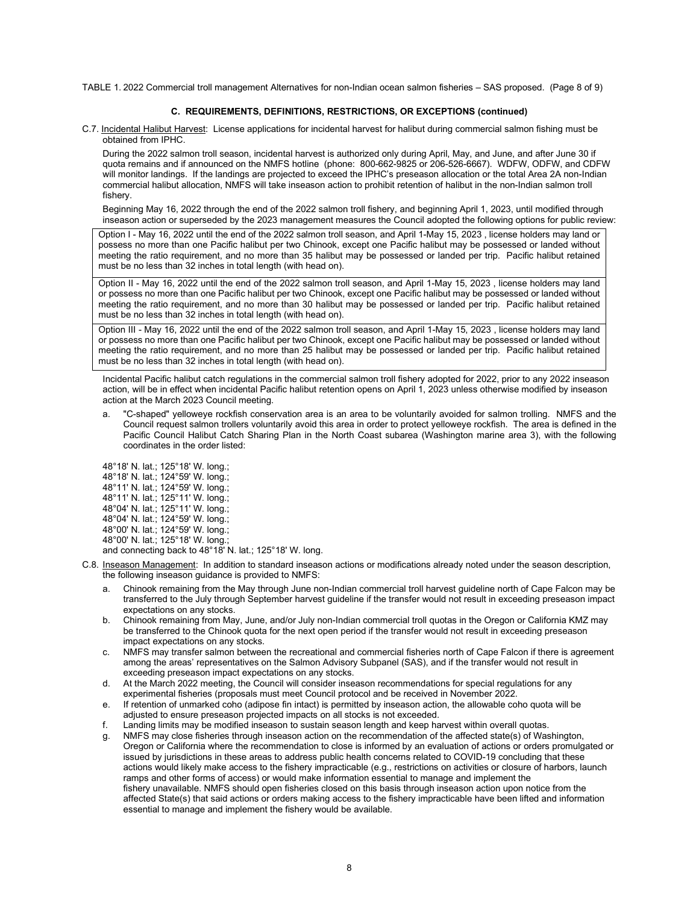TABLE 1. 2022 Commercial troll management Alternatives for non-Indian ocean salmon fisheries – SAS proposed. (Page 8 of 9)

## **C. REQUIREMENTS, DEFINITIONS, RESTRICTIONS, OR EXCEPTIONS (continued)**

C.7. Incidental Halibut Harvest: License applications for incidental harvest for halibut during commercial salmon fishing must be obtained from IPHC.

During the 2022 salmon troll season, incidental harvest is authorized only during April, May, and June, and after June 30 if quota remains and if announced on the NMFS hotline (phone: 800-662-9825 or 206-526-6667). WDFW, ODFW, and CDFW will monitor landings. If the landings are projected to exceed the IPHC's preseason allocation or the total Area 2A non-Indian commercial halibut allocation, NMFS will take inseason action to prohibit retention of halibut in the non-Indian salmon troll fishery.

Beginning May 16, 2022 through the end of the 2022 salmon troll fishery, and beginning April 1, 2023, until modified through inseason action or superseded by the 2023 management measures the Council adopted the following options for public review:

Option I - May 16, 2022 until the end of the 2022 salmon troll season, and April 1-May 15, 2023 , license holders may land or possess no more than one Pacific halibut per two Chinook, except one Pacific halibut may be possessed or landed without meeting the ratio requirement, and no more than 35 halibut may be possessed or landed per trip. Pacific halibut retained must be no less than 32 inches in total length (with head on).

Option II - May 16, 2022 until the end of the 2022 salmon troll season, and April 1-May 15, 2023 , license holders may land or possess no more than one Pacific halibut per two Chinook, except one Pacific halibut may be possessed or landed without meeting the ratio requirement, and no more than 30 halibut may be possessed or landed per trip. Pacific halibut retained must be no less than 32 inches in total length (with head on).

Option III - May 16, 2022 until the end of the 2022 salmon troll season, and April 1-May 15, 2023 , license holders may land or possess no more than one Pacific halibut per two Chinook, except one Pacific halibut may be possessed or landed without meeting the ratio requirement, and no more than 25 halibut may be possessed or landed per trip. Pacific halibut retained must be no less than 32 inches in total length (with head on).

Incidental Pacific halibut catch regulations in the commercial salmon troll fishery adopted for 2022, prior to any 2022 inseason action, will be in effect when incidental Pacific halibut retention opens on April 1, 2023 unless otherwise modified by inseason action at the March 2023 Council meeting.

a. "C-shaped" yelloweye rockfish conservation area is an area to be voluntarily avoided for salmon trolling. NMFS and the Council request salmon trollers voluntarily avoid this area in order to protect yelloweye rockfish. The area is defined in the Pacific Council Halibut Catch Sharing Plan in the North Coast subarea (Washington marine area 3), with the following coordinates in the order listed:

48°18' N. lat.; 125°18' W. long.; 48°18' N. lat.; 124°59' W. long.; 48°11' N. lat.; 124°59' W. long.; 48°11' N. lat.; 125°11' W. long.; 48°04' N. lat.; 125°11' W. long.; 48°04' N. lat.; 124°59' W. long.; 48°00' N. lat.; 124°59' W. long.; 48°00' N. lat.; 125°18' W. long.;

and connecting back to 48°18' N. lat.; 125°18' W. long.

- C.8. Inseason Management: In addition to standard inseason actions or modifications already noted under the season description, the following inseason guidance is provided to NMFS:
	- a. Chinook remaining from the May through June non-Indian commercial troll harvest guideline north of Cape Falcon may be transferred to the July through September harvest guideline if the transfer would not result in exceeding preseason impact expectations on any stocks.
	- b. Chinook remaining from May, June, and/or July non-Indian commercial troll quotas in the Oregon or California KMZ may be transferred to the Chinook quota for the next open period if the transfer would not result in exceeding preseason impact expectations on any stocks.
	- c. NMFS may transfer salmon between the recreational and commercial fisheries north of Cape Falcon if there is agreement among the areas' representatives on the Salmon Advisory Subpanel (SAS), and if the transfer would not result in exceeding preseason impact expectations on any stocks.
	- d. At the March 2022 meeting, the Council will consider inseason recommendations for special regulations for any experimental fisheries (proposals must meet Council protocol and be received in November 2022.
	- e. If retention of unmarked coho (adipose fin intact) is permitted by inseason action, the allowable coho quota will be adjusted to ensure preseason projected impacts on all stocks is not exceeded.
	- f. Landing limits may be modified inseason to sustain season length and keep harvest within overall quotas.
	- g. NMFS may close fisheries through inseason action on the recommendation of the affected state(s) of Washington, Oregon or California where the recommendation to close is informed by an evaluation of actions or orders promulgated or issued by jurisdictions in these areas to address public health concerns related to COVID-19 concluding that these actions would likely make access to the fishery impracticable (e.g., restrictions on activities or closure of harbors, launch ramps and other forms of access) or would make information essential to manage and implement the fishery unavailable. NMFS should open fisheries closed on this basis through inseason action upon notice from the affected State(s) that said actions or orders making access to the fishery impracticable have been lifted and information essential to manage and implement the fishery would be available.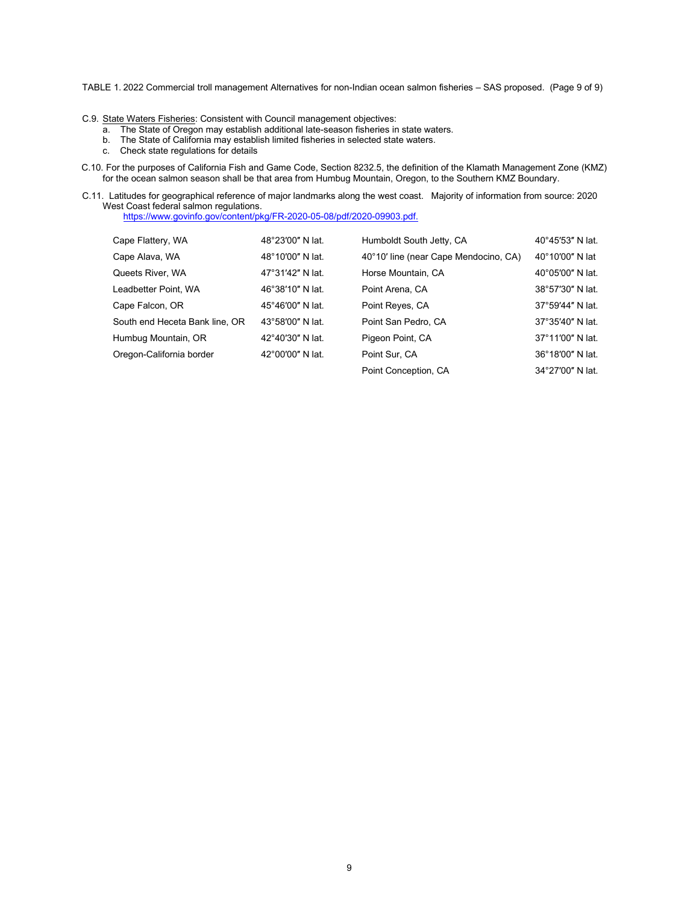TABLE 1. 2022 Commercial troll management Alternatives for non-Indian ocean salmon fisheries – SAS proposed. (Page 9 of 9)

- C.9. State Waters Fisheries: Consistent with Council management objectives:
	- a. The State of Oregon may establish additional late-season fisheries in state waters.
	- b. The State of California may establish limited fisheries in selected state waters.
	- c. Check state regulations for details
- C.10. For the purposes of California Fish and Game Code, Section 8232.5, the definition of the Klamath Management Zone (KMZ) for the ocean salmon season shall be that area from Humbug Mountain, Oregon, to the Southern KMZ Boundary.
- C.11. Latitudes for geographical reference of major landmarks along the west coast. Majority of information from source: 2020 West Coast federal salmon regulations.

<https://www.govinfo.gov/content/pkg/FR-2020-05-08/pdf/2020-09903.pdf.>

| Cape Flattery, WA              | 48°23'00" N lat. | Humboldt South Jetty, CA              | 40°45'53" N lat.           |
|--------------------------------|------------------|---------------------------------------|----------------------------|
| Cape Alava, WA                 | 48°10'00" N lat. | 40°10' line (near Cape Mendocino, CA) | $40^{\circ}10'00''$ N lat  |
| Queets River, WA               | 47°31'42" N lat. | Horse Mountain, CA                    | $40^{\circ}05'00''$ N lat. |
| Leadbetter Point, WA           | 46°38'10" N lat. | Point Arena, CA                       | 38°57'30" N lat.           |
| Cape Falcon, OR                | 45°46'00" N lat. | Point Reyes, CA                       | 37°59'44" N lat.           |
| South end Heceta Bank line, OR | 43°58'00" N lat. | Point San Pedro, CA                   | 37°35'40" N lat.           |
| Humbug Mountain, OR            | 42°40'30" N lat. | Pigeon Point, CA                      | 37°11'00" N lat.           |
| Oregon-California border       | 42°00'00" N lat. | Point Sur. CA                         | 36°18'00" N lat.           |
|                                |                  | Point Conception, CA                  | 34°27'00" N lat.           |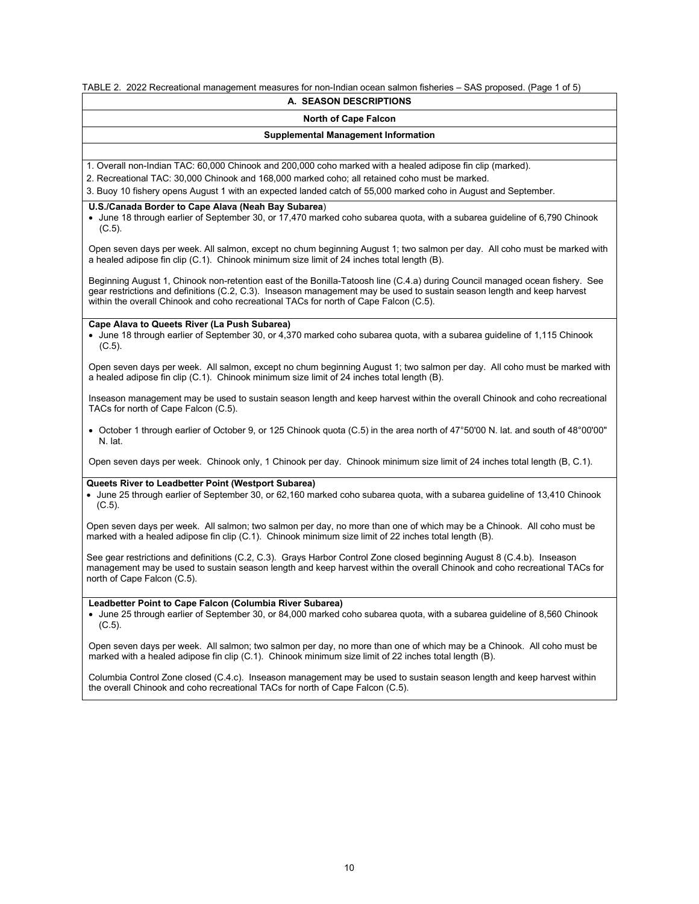TABLE 2. 2022 Recreational management measures for non-Indian ocean salmon fisheries – SAS proposed. (Page 1 of 5)

# **A. SEASON DESCRIPTIONS**

# **North of Cape Falcon**

#### **Supplemental Management Information**

1. Overall non-Indian TAC: 60,000 Chinook and 200,000 coho marked with a healed adipose fin clip (marked).

2. Recreational TAC: 30,000 Chinook and 168,000 marked coho; all retained coho must be marked.

3. Buoy 10 fishery opens August 1 with an expected landed catch of 55,000 marked coho in August and September.

# **U.S./Canada Border to Cape Alava (Neah Bay Subarea**)

• June 18 through earlier of September 30, or 17,470 marked coho subarea quota, with a subarea guideline of 6,790 Chinook (C.5).

Open seven days per week. All salmon, except no chum beginning August 1; two salmon per day. All coho must be marked with a healed adipose fin clip (C.1). Chinook minimum size limit of 24 inches total length (B).

Beginning August 1, Chinook non-retention east of the Bonilla-Tatoosh line (C.4.a) during Council managed ocean fishery. See gear restrictions and definitions (C.2, C.3). Inseason management may be used to sustain season length and keep harvest within the overall Chinook and coho recreational TACs for north of Cape Falcon (C.5).

# **Cape Alava to Queets River (La Push Subarea)**

• June 18 through earlier of September 30, or 4,370 marked coho subarea quota, with a subarea guideline of 1,115 Chinook (C.5).

Open seven days per week. All salmon, except no chum beginning August 1; two salmon per day. All coho must be marked with a healed adipose fin clip (C.1). Chinook minimum size limit of 24 inches total length (B).

Inseason management may be used to sustain season length and keep harvest within the overall Chinook and coho recreational TACs for north of Cape Falcon (C.5).

• October 1 through earlier of October 9, or 125 Chinook quota (C.5) in the area north of 47°50'00 N. lat. and south of 48°00'00" N. lat.

Open seven days per week. Chinook only, 1 Chinook per day. Chinook minimum size limit of 24 inches total length (B, C.1).

# **Queets River to Leadbetter Point (Westport Subarea)**

• June 25 through earlier of September 30, or 62,160 marked coho subarea quota, with a subarea guideline of 13,410 Chinook (C.5).

Open seven days per week. All salmon; two salmon per day, no more than one of which may be a Chinook. All coho must be marked with a healed adipose fin clip (C.1). Chinook minimum size limit of 22 inches total length (B).

See gear restrictions and definitions (C.2, C.3). Grays Harbor Control Zone closed beginning August 8 (C.4.b). Inseason management may be used to sustain season length and keep harvest within the overall Chinook and coho recreational TACs for north of Cape Falcon (C.5).

# **Leadbetter Point to Cape Falcon (Columbia River Subarea)**

• June 25 through earlier of September 30, or 84,000 marked coho subarea quota, with a subarea guideline of 8,560 Chinook (C.5).

Open seven days per week. All salmon; two salmon per day, no more than one of which may be a Chinook. All coho must be marked with a healed adipose fin clip (C.1). Chinook minimum size limit of 22 inches total length (B).

Columbia Control Zone closed (C.4.c). Inseason management may be used to sustain season length and keep harvest within the overall Chinook and coho recreational TACs for north of Cape Falcon (C.5).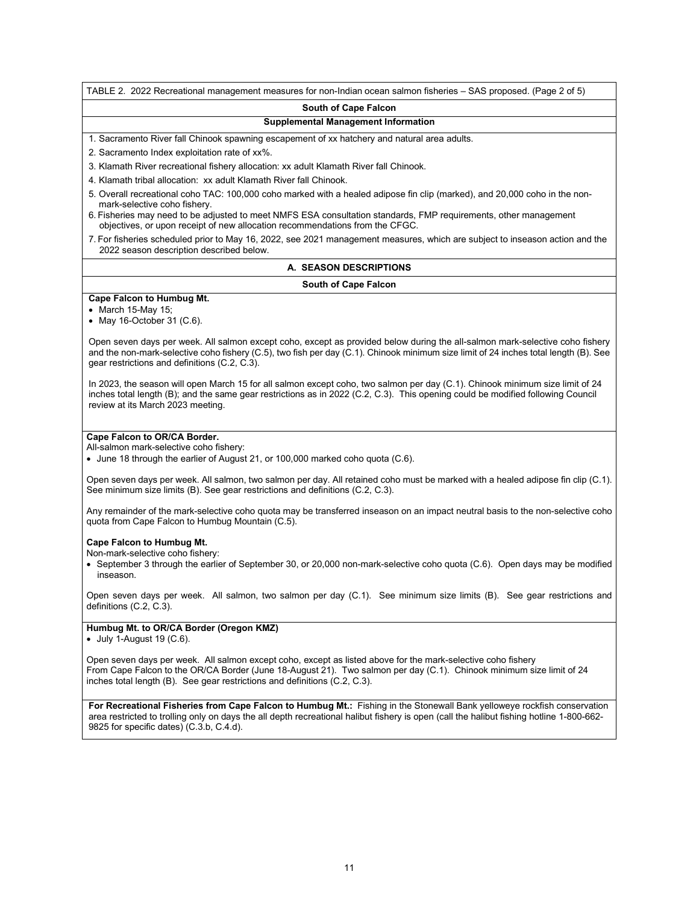TABLE 2. 2022 Recreational management measures for non-Indian ocean salmon fisheries – SAS proposed. (Page 2 of 5)

#### **South of Cape Falcon**

# **Supplemental Management Information**

1. Sacramento River fall Chinook spawning escapement of xx hatchery and natural area adults.

2. Sacramento Index exploitation rate of xx%.

- 3. Klamath River recreational fishery allocation: xx adult Klamath River fall Chinook.
- 4. Klamath tribal allocation: xx adult Klamath River fall Chinook.
- 5. Overall recreational coho TAC: 100,000 coho marked with a healed adipose fin clip (marked), and 20,000 coho in the nonmark-selective coho fishery.
- 6. Fisheries may need to be adjusted to meet NMFS ESA consultation standards, FMP requirements, other management objectives, or upon receipt of new allocation recommendations from the CFGC.
- 7. For fisheries scheduled prior to May 16, 2022, see 2021 management measures, which are subject to inseason action and the 2022 season description described below.

# **A. SEASON DESCRIPTIONS**

#### **South of Cape Falcon**

#### **Cape Falcon to Humbug Mt.**

• March 15-May 15;

• May 16-October 31 (C.6).

Open seven days per week. All salmon except coho, except as provided below during the all-salmon mark-selective coho fishery and the non-mark-selective coho fishery (C.5), two fish per day (C.1). Chinook minimum size limit of 24 inches total length (B). See gear restrictions and definitions (C.2, C.3).

In 2023, the season will open March 15 for all salmon except coho, two salmon per day (C.1). Chinook minimum size limit of 24 inches total length (B); and the same gear restrictions as in 2022 (C.2, C.3). This opening could be modified following Council review at its March 2023 meeting.

#### **Cape Falcon to OR/CA Border.**

All-salmon mark-selective coho fishery:

• June 18 through the earlier of August 21, or 100,000 marked coho quota (C.6).

Open seven days per week. All salmon, two salmon per day. All retained coho must be marked with a healed adipose fin clip (C.1). See minimum size limits (B). See gear restrictions and definitions (C.2, C.3).

Any remainder of the mark-selective coho quota may be transferred inseason on an impact neutral basis to the non-selective coho quota from Cape Falcon to Humbug Mountain (C.5).

#### **Cape Falcon to Humbug Mt.**

Non-mark-selective coho fishery:

• September 3 through the earlier of September 30, or 20,000 non-mark-selective coho quota (C.6). Open days may be modified inseason.

Open seven days per week. All salmon, two salmon per day (C.1). See minimum size limits (B). See gear restrictions and definitions (C.2, C.3).

# **Humbug Mt. to OR/CA Border (Oregon KMZ)**

 $\bullet$  July 1-August 19 (C.6).

Open seven days per week. All salmon except coho, except as listed above for the mark-selective coho fishery From Cape Falcon to the OR/CA Border (June 18-August 21). Two salmon per day (C.1). Chinook minimum size limit of 24 inches total length (B). See gear restrictions and definitions (C.2, C.3).

**For Recreational Fisheries from Cape Falcon to Humbug Mt.:** Fishing in the Stonewall Bank yelloweye rockfish conservation area restricted to trolling only on days the all depth recreational halibut fishery is open (call the halibut fishing hotline 1-800-662- 9825 for specific dates) (C.3.b, C.4.d).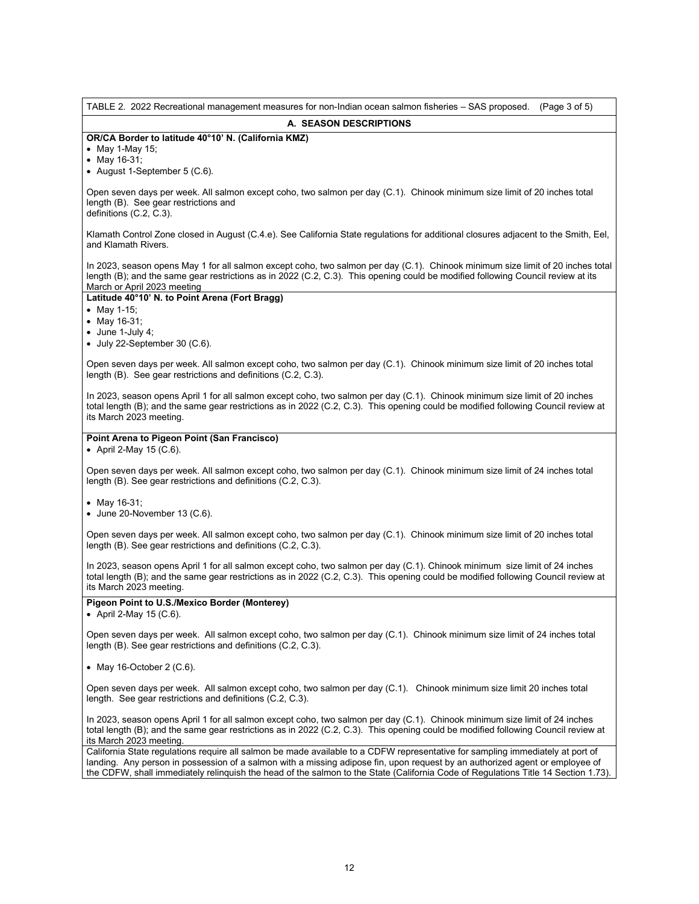| TABLE 2. 2022 Recreational management measures for non-Indian ocean salmon fisheries - SAS proposed.<br>(Page 3 of 5)                                                                                                                                                                                                                                                                                |
|------------------------------------------------------------------------------------------------------------------------------------------------------------------------------------------------------------------------------------------------------------------------------------------------------------------------------------------------------------------------------------------------------|
| A. SEASON DESCRIPTIONS                                                                                                                                                                                                                                                                                                                                                                               |
| OR/CA Border to latitude 40°10' N. (California KMZ)<br>• May 1-May 15;<br>• May 16-31;<br>• August 1-September 5 (C.6).                                                                                                                                                                                                                                                                              |
| Open seven days per week. All salmon except coho, two salmon per day (C.1). Chinook minimum size limit of 20 inches total<br>length (B). See gear restrictions and<br>definitions (C.2, C.3).                                                                                                                                                                                                        |
| Klamath Control Zone closed in August (C.4.e). See California State regulations for additional closures adjacent to the Smith, Eel,<br>and Klamath Rivers.                                                                                                                                                                                                                                           |
| In 2023, season opens May 1 for all salmon except coho, two salmon per day (C.1). Chinook minimum size limit of 20 inches total<br>length (B); and the same gear restrictions as in 2022 (C.2, C.3). This opening could be modified following Council review at its<br>March or April 2023 meeting                                                                                                   |
| Latitude 40°10' N. to Point Arena (Fort Bragg)                                                                                                                                                                                                                                                                                                                                                       |
| • May 1-15;<br>• May 16-31;                                                                                                                                                                                                                                                                                                                                                                          |
| $\bullet$ June 1-July 4;<br>$\bullet$ July 22-September 30 (C.6).                                                                                                                                                                                                                                                                                                                                    |
| Open seven days per week. All salmon except coho, two salmon per day (C.1). Chinook minimum size limit of 20 inches total<br>length (B). See gear restrictions and definitions (C.2, C.3).                                                                                                                                                                                                           |
| In 2023, season opens April 1 for all salmon except coho, two salmon per day (C.1). Chinook minimum size limit of 20 inches<br>total length (B); and the same gear restrictions as in 2022 (C.2, C.3). This opening could be modified following Council review at<br>its March 2023 meeting.                                                                                                         |
| Point Arena to Pigeon Point (San Francisco)<br>• April 2-May 15 (C.6).                                                                                                                                                                                                                                                                                                                               |
| Open seven days per week. All salmon except coho, two salmon per day (C.1). Chinook minimum size limit of 24 inches total<br>length (B). See gear restrictions and definitions (C.2, C.3).                                                                                                                                                                                                           |
| • May 16-31;<br>$\bullet$ June 20-November 13 (C.6).                                                                                                                                                                                                                                                                                                                                                 |
| Open seven days per week. All salmon except coho, two salmon per day (C.1). Chinook minimum size limit of 20 inches total<br>length (B). See gear restrictions and definitions (C.2, C.3).                                                                                                                                                                                                           |
| In 2023, season opens April 1 for all salmon except coho, two salmon per day (C.1). Chinook minimum size limit of 24 inches<br>total length (B); and the same gear restrictions as in 2022 (C.2, C.3). This opening could be modified following Council review at<br>its March 2023 meeting.                                                                                                         |
| Pigeon Point to U.S./Mexico Border (Monterey)<br>• April 2-May 15 $(C.6)$ .                                                                                                                                                                                                                                                                                                                          |
| Open seven days per week. All salmon except coho, two salmon per day (C.1). Chinook minimum size limit of 24 inches total<br>length (B). See gear restrictions and definitions (C.2, C.3).                                                                                                                                                                                                           |
| • May 16-October 2 $(C.6)$ .                                                                                                                                                                                                                                                                                                                                                                         |
| Open seven days per week. All salmon except coho, two salmon per day (C.1). Chinook minimum size limit 20 inches total<br>length. See gear restrictions and definitions (C.2, C.3).                                                                                                                                                                                                                  |
| In 2023, season opens April 1 for all salmon except coho, two salmon per day (C.1). Chinook minimum size limit of 24 inches<br>total length (B); and the same gear restrictions as in 2022 (C.2, C.3). This opening could be modified following Council review at<br>its March 2023 meeting.                                                                                                         |
| California State regulations require all salmon be made available to a CDFW representative for sampling immediately at port of<br>landing. Any person in possession of a salmon with a missing adipose fin, upon request by an authorized agent or employee of<br>the CDFW, shall immediately relinquish the head of the salmon to the State (California Code of Regulations Title 14 Section 1.73). |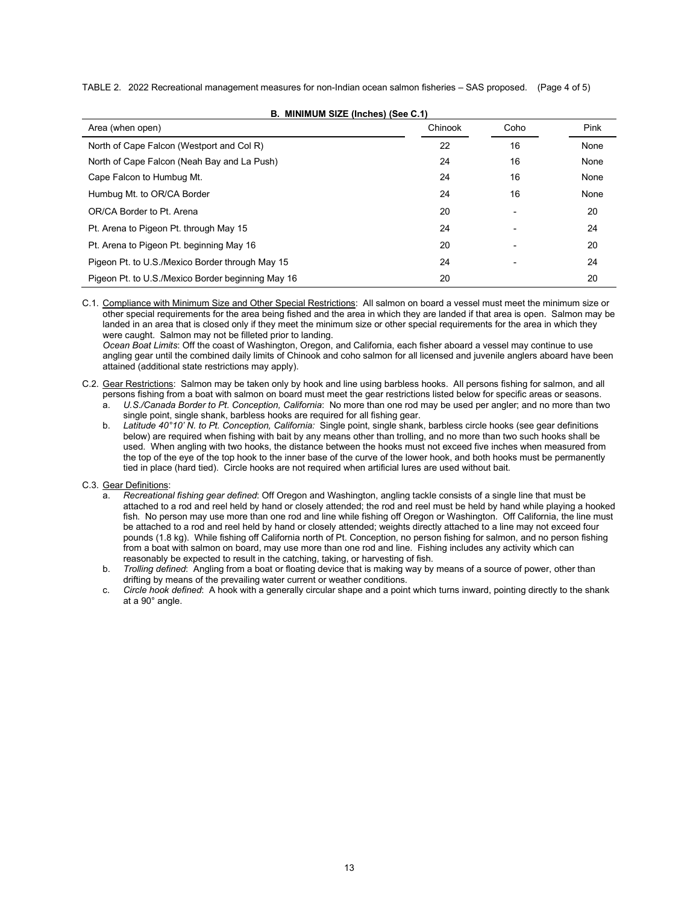TABLE 2. 2022 Recreational management measures for non-Indian ocean salmon fisheries – SAS proposed. (Page 4 of 5)

| Area (when open)                                  | Chinook | Coho           | Pink |
|---------------------------------------------------|---------|----------------|------|
| North of Cape Falcon (Westport and Col R)         | 22      | 16             | None |
| North of Cape Falcon (Neah Bay and La Push)       | 24      | 16             | None |
| Cape Falcon to Humbug Mt.                         | 24      | 16             | None |
| Humbug Mt. to OR/CA Border                        | 24      | 16             | None |
| OR/CA Border to Pt. Arena                         | 20      | $\blacksquare$ | 20   |
| Pt. Arena to Pigeon Pt. through May 15            | 24      | $\overline{a}$ | 24   |
| Pt. Arena to Pigeon Pt. beginning May 16          | 20      |                | 20   |
| Pigeon Pt. to U.S./Mexico Border through May 15   | 24      |                | 24   |
| Pigeon Pt. to U.S./Mexico Border beginning May 16 | 20      |                | 20   |

**B. MINIMUM SIZE (Inches) (See C.1)**

C.1. Compliance with Minimum Size and Other Special Restrictions: All salmon on board a vessel must meet the minimum size or other special requirements for the area being fished and the area in which they are landed if that area is open. Salmon may be landed in an area that is closed only if they meet the minimum size or other special requirements for the area in which they were caught. Salmon may not be filleted prior to landing.

*Ocean Boat Limits*: Off the coast of Washington, Oregon, and California, each fisher aboard a vessel may continue to use angling gear until the combined daily limits of Chinook and coho salmon for all licensed and juvenile anglers aboard have been attained (additional state restrictions may apply).

C.2. Gear Restrictions: Salmon may be taken only by hook and line using barbless hooks. All persons fishing for salmon, and all persons fishing from a boat with salmon on board must meet the gear restrictions listed below for specific areas or seasons.

- a. *U.S./Canada Border to Pt. Conception, California*: No more than one rod may be used per angler; and no more than two single point, single shank, barbless hooks are required for all fishing gear.
- b. *Latitude 40°10' N. to Pt. Conception, California:* Single point, single shank, barbless circle hooks (see gear definitions below) are required when fishing with bait by any means other than trolling, and no more than two such hooks shall be used. When angling with two hooks, the distance between the hooks must not exceed five inches when measured from the top of the eye of the top hook to the inner base of the curve of the lower hook, and both hooks must be permanently tied in place (hard tied). Circle hooks are not required when artificial lures are used without bait.
- C.3. Gear Definitions:
	- a. *Recreational fishing gear defined*: Off Oregon and Washington, angling tackle consists of a single line that must be attached to a rod and reel held by hand or closely attended; the rod and reel must be held by hand while playing a hooked fish. No person may use more than one rod and line while fishing off Oregon or Washington. Off California, the line must be attached to a rod and reel held by hand or closely attended; weights directly attached to a line may not exceed four pounds (1.8 kg). While fishing off California north of Pt. Conception, no person fishing for salmon, and no person fishing from a boat with salmon on board, may use more than one rod and line. Fishing includes any activity which can reasonably be expected to result in the catching, taking, or harvesting of fish.
	- b. *Trolling defined*: Angling from a boat or floating device that is making way by means of a source of power, other than drifting by means of the prevailing water current or weather conditions.
	- c. *Circle hook defined*: A hook with a generally circular shape and a point which turns inward, pointing directly to the shank at a 90° angle.